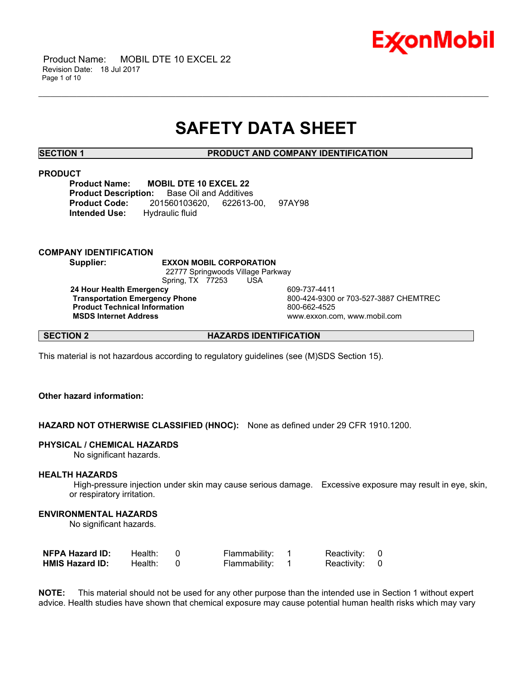

 Product Name: MOBIL DTE 10 EXCEL 22 Revision Date: 18 Jul 2017 Page 1 of 10

## **SAFETY DATA SHEET**

\_\_\_\_\_\_\_\_\_\_\_\_\_\_\_\_\_\_\_\_\_\_\_\_\_\_\_\_\_\_\_\_\_\_\_\_\_\_\_\_\_\_\_\_\_\_\_\_\_\_\_\_\_\_\_\_\_\_\_\_\_\_\_\_\_\_\_\_\_\_\_\_\_\_\_\_\_\_\_\_\_\_\_\_\_\_\_\_\_\_\_\_\_\_\_\_\_\_\_\_\_\_\_\_\_\_\_\_\_\_\_\_\_\_\_\_\_\_

**SECTION 1 PRODUCT AND COMPANY IDENTIFICATION**

### **PRODUCT**

**Product Name: MOBIL DTE 10 EXCEL 22 Product Description:** Base Oil and Additives **Product Code:** 201560103620, 622613-00, 97AY98 **Intended Use:** Hydraulic fluid

### **COMPANY IDENTIFICATION**

**Supplier: EXXON MOBIL CORPORATION** 22777 Springwoods Village Parkway Spring, TX 77253 USA **24 Hour Health Emergency 124 COMPRESS 120 AM 24 Hour Health Emergency Transportation Emergency Phone** 800-424-9300 or 703-527-3887 CHEMTREC **Product Technical Information**<br>
MSDS Internet Address<br>
MSDS Internet Address

 **MSDS Internet Address** www.exxon.com, www.mobil.com

**SECTION 2 HAZARDS IDENTIFICATION** 

This material is not hazardous according to regulatory guidelines (see (M)SDS Section 15).

### **Other hazard information:**

**HAZARD NOT OTHERWISE CLASSIFIED (HNOC):** None as defined under 29 CFR 1910.1200.

### **PHYSICAL / CHEMICAL HAZARDS**

No significant hazards.

### **HEALTH HAZARDS**

 High-pressure injection under skin may cause serious damage. Excessive exposure may result in eye, skin, or respiratory irritation.

### **ENVIRONMENTAL HAZARDS**

No significant hazards.

| <b>NFPA Hazard ID:</b> | Health: | Flammability: | Reactivity: 0 |  |
|------------------------|---------|---------------|---------------|--|
| <b>HMIS Hazard ID:</b> | Health: | Flammability: | Reactivity: 0 |  |

**NOTE:** This material should not be used for any other purpose than the intended use in Section 1 without expert advice. Health studies have shown that chemical exposure may cause potential human health risks which may vary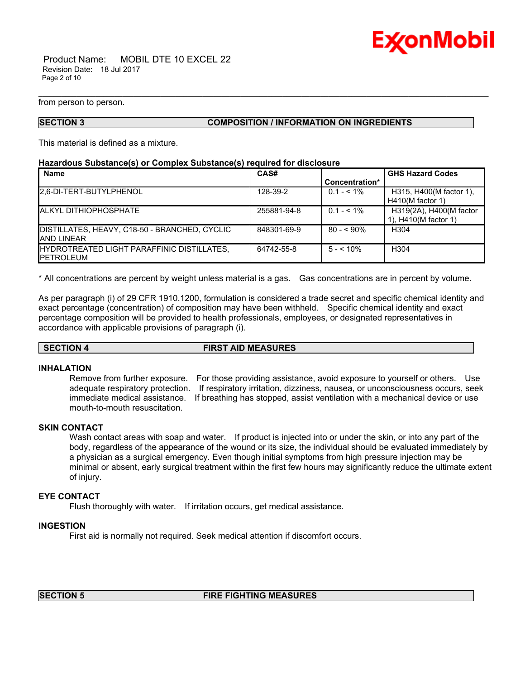

 Product Name: MOBIL DTE 10 EXCEL 22 Revision Date: 18 Jul 2017 Page 2 of 10

from person to person.

### **SECTION 3 COMPOSITION / INFORMATION ON INGREDIENTS**

This material is defined as a mixture.

### **Hazardous Substance(s) or Complex Substance(s) required for disclosure**

| <b>Name</b>                                        | CAS#        |                | <b>GHS Hazard Codes</b> |
|----------------------------------------------------|-------------|----------------|-------------------------|
|                                                    |             | Concentration* |                         |
| 2.6-DI-TERT-BUTYLPHENOL                            | 128-39-2    | $0.1 - 5.1\%$  | H315, H400(M factor 1), |
|                                                    |             |                | $H410(M$ factor 1)      |
| <b>ALKYL DITHIOPHOSPHATE</b>                       | 255881-94-8 | $0.1 - 5.1\%$  | H319(2A), H400(M factor |
|                                                    |             |                | 1), H410(M factor 1)    |
| DISTILLATES, HEAVY, C18-50 - BRANCHED, CYCLIC      | 848301-69-9 | $80 - 590\%$   | H304                    |
| <b>JAND LINEAR</b>                                 |             |                |                         |
| <b>IHYDROTREATED LIGHT PARAFFINIC DISTILLATES.</b> | 64742-55-8  | $5 - 10\%$     | H304                    |
| <b>IPETROLEUM</b>                                  |             |                |                         |

\_\_\_\_\_\_\_\_\_\_\_\_\_\_\_\_\_\_\_\_\_\_\_\_\_\_\_\_\_\_\_\_\_\_\_\_\_\_\_\_\_\_\_\_\_\_\_\_\_\_\_\_\_\_\_\_\_\_\_\_\_\_\_\_\_\_\_\_\_\_\_\_\_\_\_\_\_\_\_\_\_\_\_\_\_\_\_\_\_\_\_\_\_\_\_\_\_\_\_\_\_\_\_\_\_\_\_\_\_\_\_\_\_\_\_\_\_\_

\* All concentrations are percent by weight unless material is a gas. Gas concentrations are in percent by volume.

As per paragraph (i) of 29 CFR 1910.1200, formulation is considered a trade secret and specific chemical identity and exact percentage (concentration) of composition may have been withheld. Specific chemical identity and exact percentage composition will be provided to health professionals, employees, or designated representatives in accordance with applicable provisions of paragraph (i).

**SECTION 4 FIRST AID MEASURES**

### **INHALATION**

Remove from further exposure. For those providing assistance, avoid exposure to yourself or others. Use adequate respiratory protection. If respiratory irritation, dizziness, nausea, or unconsciousness occurs, seek immediate medical assistance. If breathing has stopped, assist ventilation with a mechanical device or use mouth-to-mouth resuscitation.

### **SKIN CONTACT**

Wash contact areas with soap and water. If product is injected into or under the skin, or into any part of the body, regardless of the appearance of the wound or its size, the individual should be evaluated immediately by a physician as a surgical emergency. Even though initial symptoms from high pressure injection may be minimal or absent, early surgical treatment within the first few hours may significantly reduce the ultimate extent of injury.

### **EYE CONTACT**

Flush thoroughly with water. If irritation occurs, get medical assistance.

### **INGESTION**

First aid is normally not required. Seek medical attention if discomfort occurs.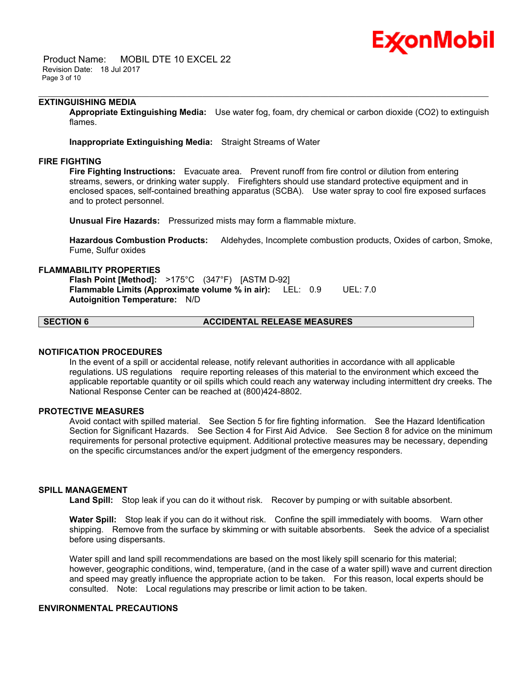## Ex⁄onMobil

 Product Name: MOBIL DTE 10 EXCEL 22 Revision Date: 18 Jul 2017 Page 3 of 10

### **EXTINGUISHING MEDIA**

**Appropriate Extinguishing Media:** Use water fog, foam, dry chemical or carbon dioxide (CO2) to extinguish flames.

\_\_\_\_\_\_\_\_\_\_\_\_\_\_\_\_\_\_\_\_\_\_\_\_\_\_\_\_\_\_\_\_\_\_\_\_\_\_\_\_\_\_\_\_\_\_\_\_\_\_\_\_\_\_\_\_\_\_\_\_\_\_\_\_\_\_\_\_\_\_\_\_\_\_\_\_\_\_\_\_\_\_\_\_\_\_\_\_\_\_\_\_\_\_\_\_\_\_\_\_\_\_\_\_\_\_\_\_\_\_\_\_\_\_\_\_\_\_

**Inappropriate Extinguishing Media:** Straight Streams of Water

### **FIRE FIGHTING**

**Fire Fighting Instructions:** Evacuate area. Prevent runoff from fire control or dilution from entering streams, sewers, or drinking water supply. Firefighters should use standard protective equipment and in enclosed spaces, self-contained breathing apparatus (SCBA). Use water spray to cool fire exposed surfaces and to protect personnel.

**Unusual Fire Hazards:** Pressurized mists may form a flammable mixture.

**Hazardous Combustion Products:** Aldehydes, Incomplete combustion products, Oxides of carbon, Smoke, Fume, Sulfur oxides

### **FLAMMABILITY PROPERTIES**

**Flash Point [Method]:** >175°C (347°F) [ASTM D-92] **Flammable Limits (Approximate volume % in air):** LEL: 0.9 UEL: 7.0 **Autoignition Temperature:** N/D

### **SECTION 6 ACCIDENTAL RELEASE MEASURES**

### **NOTIFICATION PROCEDURES**

In the event of a spill or accidental release, notify relevant authorities in accordance with all applicable regulations. US regulations require reporting releases of this material to the environment which exceed the applicable reportable quantity or oil spills which could reach any waterway including intermittent dry creeks. The National Response Center can be reached at (800)424-8802.

### **PROTECTIVE MEASURES**

Avoid contact with spilled material. See Section 5 for fire fighting information. See the Hazard Identification Section for Significant Hazards. See Section 4 for First Aid Advice. See Section 8 for advice on the minimum requirements for personal protective equipment. Additional protective measures may be necessary, depending on the specific circumstances and/or the expert judgment of the emergency responders.

### **SPILL MANAGEMENT**

Land Spill: Stop leak if you can do it without risk. Recover by pumping or with suitable absorbent.

**Water Spill:** Stop leak if you can do it without risk. Confine the spill immediately with booms. Warn other shipping. Remove from the surface by skimming or with suitable absorbents. Seek the advice of a specialist before using dispersants.

Water spill and land spill recommendations are based on the most likely spill scenario for this material; however, geographic conditions, wind, temperature, (and in the case of a water spill) wave and current direction and speed may greatly influence the appropriate action to be taken. For this reason, local experts should be consulted. Note: Local regulations may prescribe or limit action to be taken.

### **ENVIRONMENTAL PRECAUTIONS**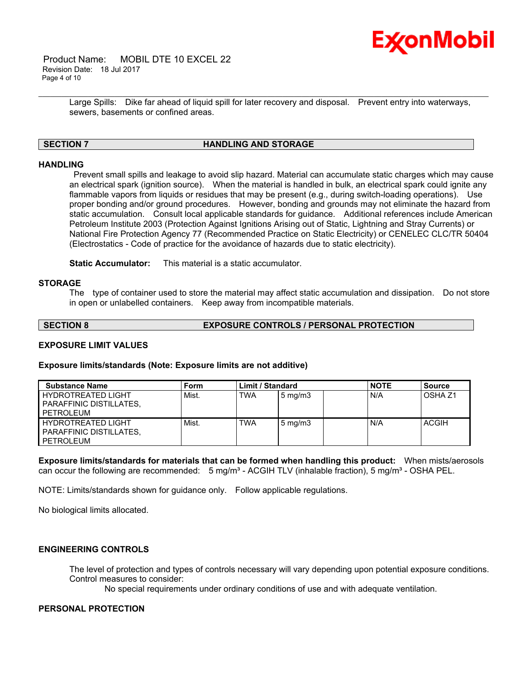

 Product Name: MOBIL DTE 10 EXCEL 22 Revision Date: 18 Jul 2017 Page 4 of 10

> Large Spills: Dike far ahead of liquid spill for later recovery and disposal. Prevent entry into waterways, sewers, basements or confined areas.

\_\_\_\_\_\_\_\_\_\_\_\_\_\_\_\_\_\_\_\_\_\_\_\_\_\_\_\_\_\_\_\_\_\_\_\_\_\_\_\_\_\_\_\_\_\_\_\_\_\_\_\_\_\_\_\_\_\_\_\_\_\_\_\_\_\_\_\_\_\_\_\_\_\_\_\_\_\_\_\_\_\_\_\_\_\_\_\_\_\_\_\_\_\_\_\_\_\_\_\_\_\_\_\_\_\_\_\_\_\_\_\_\_\_\_\_\_\_

### **SECTION 7 HANDLING AND STORAGE**

### **HANDLING**

 Prevent small spills and leakage to avoid slip hazard. Material can accumulate static charges which may cause an electrical spark (ignition source). When the material is handled in bulk, an electrical spark could ignite any flammable vapors from liquids or residues that may be present (e.g., during switch-loading operations). Use proper bonding and/or ground procedures. However, bonding and grounds may not eliminate the hazard from static accumulation. Consult local applicable standards for guidance. Additional references include American Petroleum Institute 2003 (Protection Against Ignitions Arising out of Static, Lightning and Stray Currents) or National Fire Protection Agency 77 (Recommended Practice on Static Electricity) or CENELEC CLC/TR 50404 (Electrostatics - Code of practice for the avoidance of hazards due to static electricity).

**Static Accumulator:** This material is a static accumulator.

### **STORAGE**

The type of container used to store the material may affect static accumulation and dissipation. Do not store in open or unlabelled containers. Keep away from incompatible materials.

### **SECTION 8 EXPOSURE CONTROLS / PERSONAL PROTECTION**

### **EXPOSURE LIMIT VALUES**

### **Exposure limits/standards (Note: Exposure limits are not additive)**

| <b>Substance Name</b>                                             | Form  | Limit / Standard |                  | <b>NOTE</b> | <b>Source</b>  |
|-------------------------------------------------------------------|-------|------------------|------------------|-------------|----------------|
| HYDROTREATED LIGHT<br><b>PARAFFINIC DISTILLATES.</b><br>PETROLEUM | Mist. | <b>TWA</b>       | $5 \text{ mg/m}$ | I N/A       | <b>OSHA Z1</b> |
| HYDROTREATED LIGHT<br><b>PARAFFINIC DISTILLATES.</b><br>PETROLEUM | Mist. | <b>TWA</b>       | $5 \text{ mg/m}$ | N/A         | ACGIH          |

**Exposure limits/standards for materials that can be formed when handling this product:** When mists/aerosols can occur the following are recommended:  $5 \text{ mg/m}^3$  - ACGIH TLV (inhalable fraction),  $5 \text{ mg/m}^3$  - OSHA PEL.

NOTE: Limits/standards shown for guidance only. Follow applicable regulations.

No biological limits allocated.

### **ENGINEERING CONTROLS**

The level of protection and types of controls necessary will vary depending upon potential exposure conditions. Control measures to consider:

No special requirements under ordinary conditions of use and with adequate ventilation.

### **PERSONAL PROTECTION**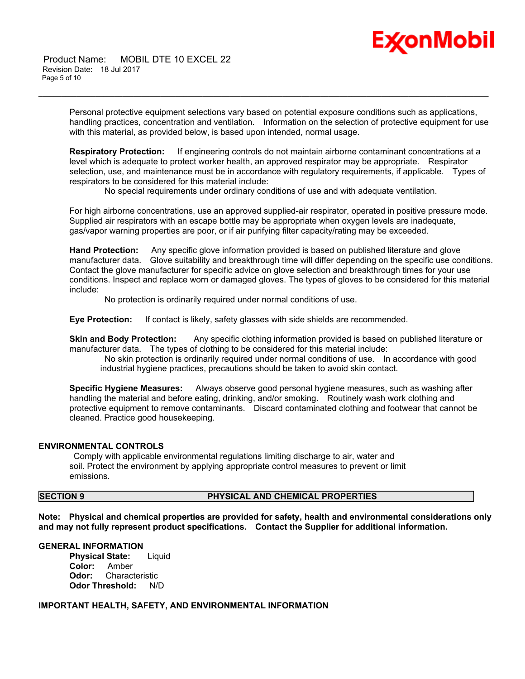# Ex⁄onMobil

 Product Name: MOBIL DTE 10 EXCEL 22 Revision Date: 18 Jul 2017 Page 5 of 10

> Personal protective equipment selections vary based on potential exposure conditions such as applications, handling practices, concentration and ventilation. Information on the selection of protective equipment for use with this material, as provided below, is based upon intended, normal usage.

\_\_\_\_\_\_\_\_\_\_\_\_\_\_\_\_\_\_\_\_\_\_\_\_\_\_\_\_\_\_\_\_\_\_\_\_\_\_\_\_\_\_\_\_\_\_\_\_\_\_\_\_\_\_\_\_\_\_\_\_\_\_\_\_\_\_\_\_\_\_\_\_\_\_\_\_\_\_\_\_\_\_\_\_\_\_\_\_\_\_\_\_\_\_\_\_\_\_\_\_\_\_\_\_\_\_\_\_\_\_\_\_\_\_\_\_\_\_

**Respiratory Protection:** If engineering controls do not maintain airborne contaminant concentrations at a level which is adequate to protect worker health, an approved respirator may be appropriate. Respirator selection, use, and maintenance must be in accordance with regulatory requirements, if applicable. Types of respirators to be considered for this material include:

No special requirements under ordinary conditions of use and with adequate ventilation.

For high airborne concentrations, use an approved supplied-air respirator, operated in positive pressure mode. Supplied air respirators with an escape bottle may be appropriate when oxygen levels are inadequate, gas/vapor warning properties are poor, or if air purifying filter capacity/rating may be exceeded.

**Hand Protection:** Any specific glove information provided is based on published literature and glove manufacturer data. Glove suitability and breakthrough time will differ depending on the specific use conditions. Contact the glove manufacturer for specific advice on glove selection and breakthrough times for your use conditions. Inspect and replace worn or damaged gloves. The types of gloves to be considered for this material include:

No protection is ordinarily required under normal conditions of use.

**Eye Protection:** If contact is likely, safety glasses with side shields are recommended.

**Skin and Body Protection:** Any specific clothing information provided is based on published literature or manufacturer data. The types of clothing to be considered for this material include:

 No skin protection is ordinarily required under normal conditions of use. In accordance with good industrial hygiene practices, precautions should be taken to avoid skin contact.

**Specific Hygiene Measures:** Always observe good personal hygiene measures, such as washing after handling the material and before eating, drinking, and/or smoking. Routinely wash work clothing and protective equipment to remove contaminants. Discard contaminated clothing and footwear that cannot be cleaned. Practice good housekeeping.

### **ENVIRONMENTAL CONTROLS**

 Comply with applicable environmental regulations limiting discharge to air, water and soil. Protect the environment by applying appropriate control measures to prevent or limit emissions.

### **SECTION 9 PHYSICAL AND CHEMICAL PROPERTIES**

**Note: Physical and chemical properties are provided for safety, health and environmental considerations only and may not fully represent product specifications. Contact the Supplier for additional information.**

### **GENERAL INFORMATION**

**Physical State:** Liquid **Color:** Amber **Odor:** Characteristic **Odor Threshold:** N/D

### **IMPORTANT HEALTH, SAFETY, AND ENVIRONMENTAL INFORMATION**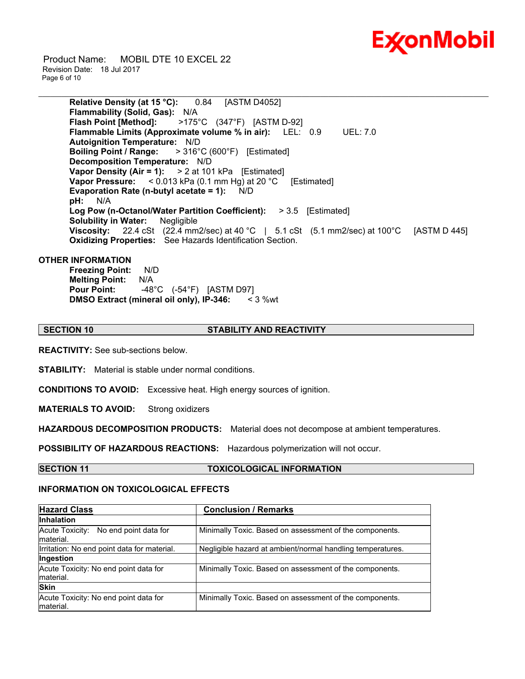

 Product Name: MOBIL DTE 10 EXCEL 22 Revision Date: 18 Jul 2017 Page 6 of 10

> **Relative Density (at 15 °C):** 0.84 [ASTM D4052] **Flammability (Solid, Gas):** N/A **Flash Point [Method]:** >175°C (347°F) [ASTM D-92] **Flammable Limits (Approximate volume % in air):** LEL: 0.9 UEL: 7.0 **Autoignition Temperature:** N/D **Boiling Point / Range:** > 316°C (600°F) [Estimated] **Decomposition Temperature:** N/D **Vapor Density (Air = 1):** > 2 at 101 kPa [Estimated] **Vapor Pressure:** < 0.013 kPa (0.1 mm Hg) at 20 °C [Estimated] **Evaporation Rate (n-butyl acetate = 1):** N/D **pH:** N/A **Log Pow (n-Octanol/Water Partition Coefficient):** > 3.5 [Estimated] **Solubility in Water:** Negligible **Viscosity:** 22.4 cSt (22.4 mm2/sec) at 40 °C | 5.1 cSt (5.1 mm2/sec) at 100°C [ASTM D 445] **Oxidizing Properties:** See Hazards Identification Section.

\_\_\_\_\_\_\_\_\_\_\_\_\_\_\_\_\_\_\_\_\_\_\_\_\_\_\_\_\_\_\_\_\_\_\_\_\_\_\_\_\_\_\_\_\_\_\_\_\_\_\_\_\_\_\_\_\_\_\_\_\_\_\_\_\_\_\_\_\_\_\_\_\_\_\_\_\_\_\_\_\_\_\_\_\_\_\_\_\_\_\_\_\_\_\_\_\_\_\_\_\_\_\_\_\_\_\_\_\_\_\_\_\_\_\_\_\_\_

### **OTHER INFORMATION**

**Freezing Point:** N/D **Melting Point:** N/A **Pour Point:** -48°C (-54°F) [ASTM D97] **DMSO Extract (mineral oil only), IP-346:** < 3 %wt

### **SECTION 10 STABILITY AND REACTIVITY**

**REACTIVITY:** See sub-sections below.

**STABILITY:** Material is stable under normal conditions.

**CONDITIONS TO AVOID:** Excessive heat. High energy sources of ignition.

**MATERIALS TO AVOID:** Strong oxidizers

**HAZARDOUS DECOMPOSITION PRODUCTS:** Material does not decompose at ambient temperatures.

**POSSIBILITY OF HAZARDOUS REACTIONS:** Hazardous polymerization will not occur.

**SECTION 11 TOXICOLOGICAL INFORMATION**

### **INFORMATION ON TOXICOLOGICAL EFFECTS**

| <b>Hazard Class</b>                                | <b>Conclusion / Remarks</b>                                |  |  |
|----------------------------------------------------|------------------------------------------------------------|--|--|
| <b>Inhalation</b>                                  |                                                            |  |  |
| Acute Toxicity: No end point data for<br>material. | Minimally Toxic. Based on assessment of the components.    |  |  |
| Irritation: No end point data for material.        | Negligible hazard at ambient/normal handling temperatures. |  |  |
| Ingestion                                          |                                                            |  |  |
| Acute Toxicity: No end point data for<br>material. | Minimally Toxic. Based on assessment of the components.    |  |  |
| <b>Skin</b>                                        |                                                            |  |  |
| Acute Toxicity: No end point data for<br>material. | Minimally Toxic. Based on assessment of the components.    |  |  |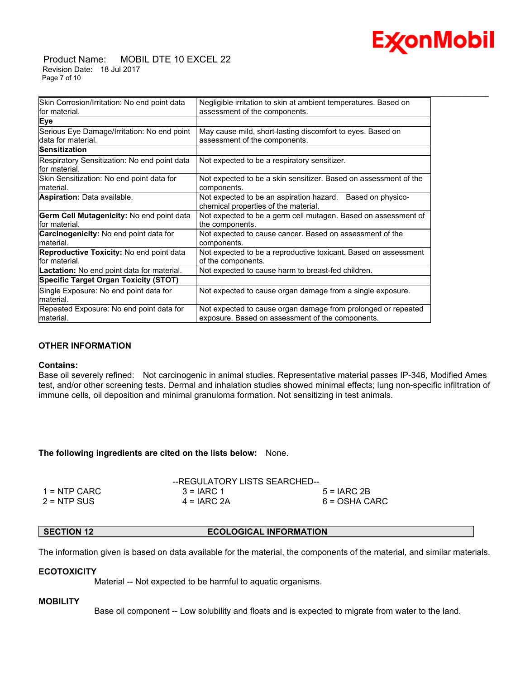

 Product Name: MOBIL DTE 10 EXCEL 22 Revision Date: 18 Jul 2017 Page 7 of 10

| Skin Corrosion/Irritation: No end point data                  | Negligible irritation to skin at ambient temperatures. Based on                                                   |
|---------------------------------------------------------------|-------------------------------------------------------------------------------------------------------------------|
| for material.                                                 | assessment of the components.                                                                                     |
| <b>Eye</b>                                                    |                                                                                                                   |
| Serious Eye Damage/Irritation: No end point                   | May cause mild, short-lasting discomfort to eyes. Based on                                                        |
| ldata for material.                                           | assessment of the components.                                                                                     |
| Sensitization                                                 |                                                                                                                   |
| Respiratory Sensitization: No end point data<br>for material. | Not expected to be a respiratory sensitizer.                                                                      |
| Skin Sensitization: No end point data for<br>Imaterial.       | Not expected to be a skin sensitizer. Based on assessment of the<br>components.                                   |
| Aspiration: Data available.                                   | Not expected to be an aspiration hazard. Based on physico-<br>chemical properties of the material.                |
| Germ Cell Mutagenicity: No end point data<br>for material.    | Not expected to be a germ cell mutagen. Based on assessment of<br>the components.                                 |
| Carcinogenicity: No end point data for<br>material.           | Not expected to cause cancer. Based on assessment of the<br>components.                                           |
| Reproductive Toxicity: No end point data                      | Not expected to be a reproductive toxicant. Based on assessment                                                   |
| for material.                                                 | of the components.                                                                                                |
| <b>Lactation:</b> No end point data for material.             | Not expected to cause harm to breast-fed children.                                                                |
| <b>Specific Target Organ Toxicity (STOT)</b>                  |                                                                                                                   |
| Single Exposure: No end point data for<br>material.           | Not expected to cause organ damage from a single exposure.                                                        |
| Repeated Exposure: No end point data for<br>material.         | Not expected to cause organ damage from prolonged or repeated<br>exposure. Based on assessment of the components. |
|                                                               |                                                                                                                   |

### **OTHER INFORMATION**

### **Contains:**

Base oil severely refined: Not carcinogenic in animal studies. Representative material passes IP-346, Modified Ames test, and/or other screening tests. Dermal and inhalation studies showed minimal effects; lung non-specific infiltration of immune cells, oil deposition and minimal granuloma formation. Not sensitizing in test animals.

### **The following ingredients are cited on the lists below:** None.

|                | --REGULATORY LISTS SEARCHED-- |               |
|----------------|-------------------------------|---------------|
| $1 =$ NTP CARC | $3 = IARC 1$                  | $5 = IARC2B$  |
| $2 = NTP$ SUS  | $4 = IARC 2A$                 | 6 = OSHA CARC |

### **SECTION 12 ECOLOGICAL INFORMATION**

The information given is based on data available for the material, the components of the material, and similar materials.

### **ECOTOXICITY**

Material -- Not expected to be harmful to aquatic organisms.

### **MOBILITY**

Base oil component -- Low solubility and floats and is expected to migrate from water to the land.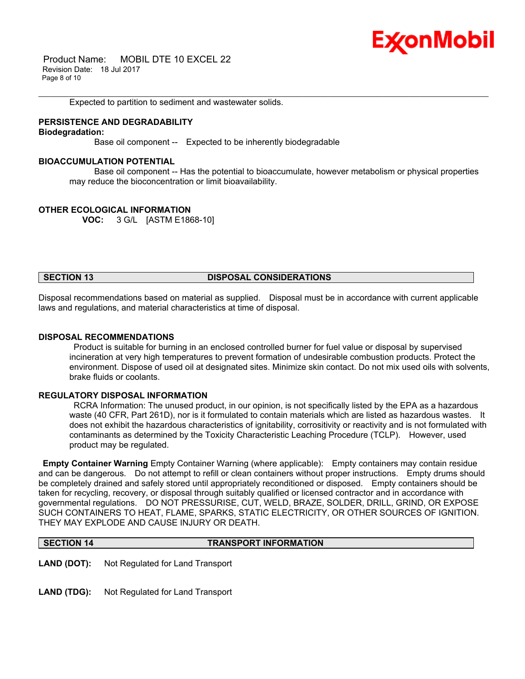## Ex⁄onMobil

 Product Name: MOBIL DTE 10 EXCEL 22 Revision Date: 18 Jul 2017 Page 8 of 10

Expected to partition to sediment and wastewater solids.

### **PERSISTENCE AND DEGRADABILITY**

**Biodegradation:**

Base oil component -- Expected to be inherently biodegradable

### **BIOACCUMULATION POTENTIAL**

 Base oil component -- Has the potential to bioaccumulate, however metabolism or physical properties may reduce the bioconcentration or limit bioavailability.

\_\_\_\_\_\_\_\_\_\_\_\_\_\_\_\_\_\_\_\_\_\_\_\_\_\_\_\_\_\_\_\_\_\_\_\_\_\_\_\_\_\_\_\_\_\_\_\_\_\_\_\_\_\_\_\_\_\_\_\_\_\_\_\_\_\_\_\_\_\_\_\_\_\_\_\_\_\_\_\_\_\_\_\_\_\_\_\_\_\_\_\_\_\_\_\_\_\_\_\_\_\_\_\_\_\_\_\_\_\_\_\_\_\_\_\_\_\_

### **OTHER ECOLOGICAL INFORMATION**

**VOC:** 3 G/L [ASTM E1868-10]

### **SECTION 13 DISPOSAL CONSIDERATIONS**

Disposal recommendations based on material as supplied. Disposal must be in accordance with current applicable laws and regulations, and material characteristics at time of disposal.

### **DISPOSAL RECOMMENDATIONS**

 Product is suitable for burning in an enclosed controlled burner for fuel value or disposal by supervised incineration at very high temperatures to prevent formation of undesirable combustion products. Protect the environment. Dispose of used oil at designated sites. Minimize skin contact. Do not mix used oils with solvents, brake fluids or coolants.

### **REGULATORY DISPOSAL INFORMATION**

 RCRA Information: The unused product, in our opinion, is not specifically listed by the EPA as a hazardous waste (40 CFR, Part 261D), nor is it formulated to contain materials which are listed as hazardous wastes. It does not exhibit the hazardous characteristics of ignitability, corrositivity or reactivity and is not formulated with contaminants as determined by the Toxicity Characteristic Leaching Procedure (TCLP). However, used product may be regulated.

**Empty Container Warning** Empty Container Warning (where applicable): Empty containers may contain residue and can be dangerous. Do not attempt to refill or clean containers without proper instructions. Empty drums should be completely drained and safely stored until appropriately reconditioned or disposed. Empty containers should be taken for recycling, recovery, or disposal through suitably qualified or licensed contractor and in accordance with governmental regulations. DO NOT PRESSURISE, CUT, WELD, BRAZE, SOLDER, DRILL, GRIND, OR EXPOSE SUCH CONTAINERS TO HEAT, FLAME, SPARKS, STATIC ELECTRICITY, OR OTHER SOURCES OF IGNITION. THEY MAY EXPLODE AND CAUSE INJURY OR DEATH.

**SECTION 14 TRANSPORT INFORMATION** 

**LAND (DOT):** Not Regulated for Land Transport

LAND (TDG): Not Regulated for Land Transport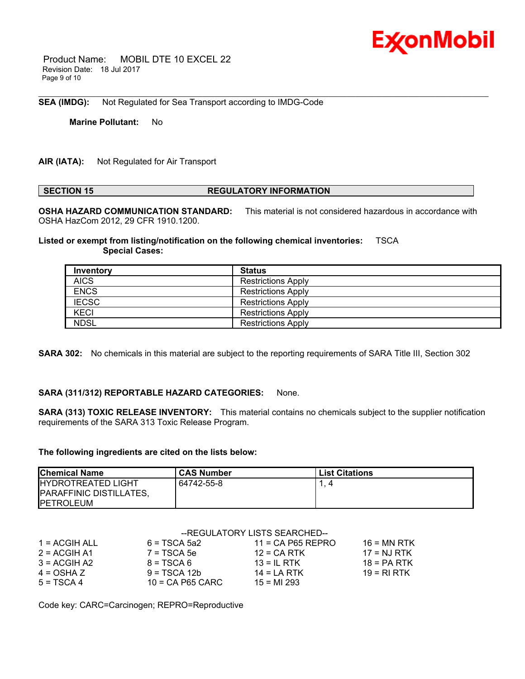

 Product Name: MOBIL DTE 10 EXCEL 22 Revision Date: 18 Jul 2017 Page 9 of 10

**SEA (IMDG):** Not Regulated for Sea Transport according to IMDG-Code

**Marine Pollutant:** No

**AIR (IATA):** Not Regulated for Air Transport

### **SECTION 15 REGULATORY INFORMATION**

\_\_\_\_\_\_\_\_\_\_\_\_\_\_\_\_\_\_\_\_\_\_\_\_\_\_\_\_\_\_\_\_\_\_\_\_\_\_\_\_\_\_\_\_\_\_\_\_\_\_\_\_\_\_\_\_\_\_\_\_\_\_\_\_\_\_\_\_\_\_\_\_\_\_\_\_\_\_\_\_\_\_\_\_\_\_\_\_\_\_\_\_\_\_\_\_\_\_\_\_\_\_\_\_\_\_\_\_\_\_\_\_\_\_\_\_\_\_

**OSHA HAZARD COMMUNICATION STANDARD:** This material is not considered hazardous in accordance with OSHA HazCom 2012, 29 CFR 1910.1200.

**Listed or exempt from listing/notification on the following chemical inventories:** TSCA  **Special Cases:**

| Inventory    | Status                    |
|--------------|---------------------------|
| <b>AICS</b>  | <b>Restrictions Apply</b> |
| <b>ENCS</b>  | <b>Restrictions Apply</b> |
| <b>IECSC</b> | <b>Restrictions Apply</b> |
| <b>KECI</b>  | <b>Restrictions Apply</b> |
| <b>NDSL</b>  | <b>Restrictions Apply</b> |

**SARA 302:** No chemicals in this material are subject to the reporting requirements of SARA Title III, Section 302

### **SARA (311/312) REPORTABLE HAZARD CATEGORIES:** None.

**SARA (313) TOXIC RELEASE INVENTORY:** This material contains no chemicals subject to the supplier notification requirements of the SARA 313 Toxic Release Program.

### **The following ingredients are cited on the lists below:**

| <b>Chemical Name</b>                                                              | <b>CAS Number</b> | <b>List Citations</b> |
|-----------------------------------------------------------------------------------|-------------------|-----------------------|
| <b>IHYDROTREATED LIGHT</b><br><b>PARAFFINIC DISTILLATES,</b><br><b>IPETROLEUM</b> | 64742-55-8        |                       |

|                 | --REGULATORY LISTS SEARCHED-- |                     |               |
|-----------------|-------------------------------|---------------------|---------------|
| $1 = ACGIH ALL$ | $6 = TSCA 5a2$                | $11 = CA$ P65 REPRO | 16 = MN RTK   |
| $2 = ACGIH A1$  | $7 = TSCA$ 5e                 | $12 = CA$ RTK       | $17 = NJ RTK$ |
| $3 = ACGIH A2$  | $8 = TSCA6$                   | 13 = IL RTK         | $18 = PA RTK$ |
| $4 = OSHA Z$    | $9 = TSCA 12b$                | $14 = LA RTK$       | 19 = RI RTK   |
| $5 = TSCA 4$    | $10$ = CA P65 CARC            | $15 = M1293$        |               |

Code key: CARC=Carcinogen; REPRO=Reproductive